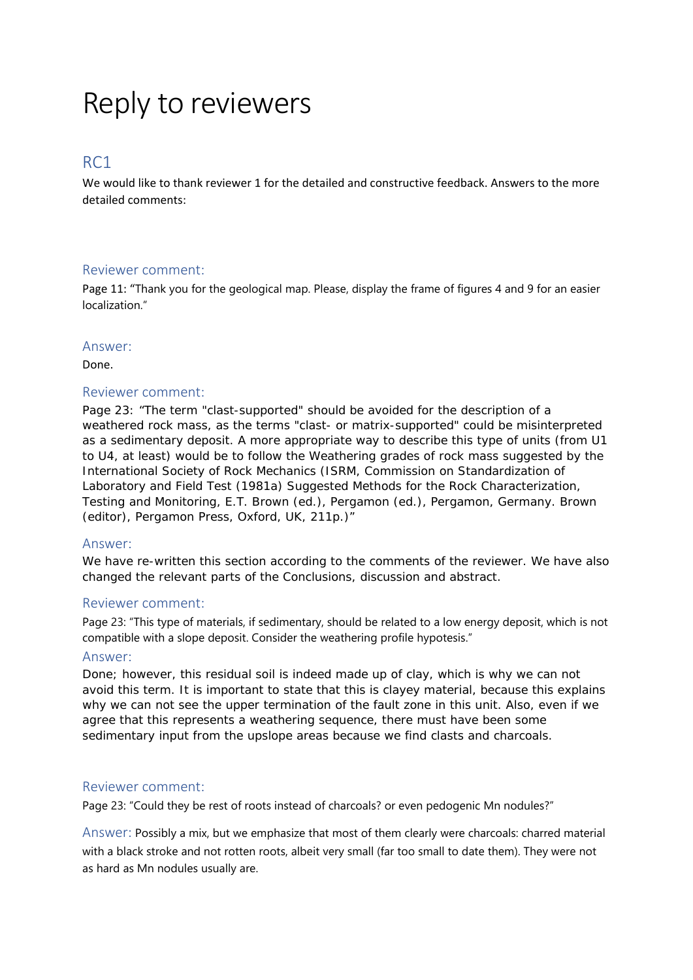# Reply to reviewers

# RC1

We would like to thank reviewer 1 for the detailed and constructive feedback. Answers to the more detailed comments:

#### Reviewer comment:

Page 11: "Thank you for the geological map. Please, display the frame of figures 4 and 9 for an easier localization."

#### Answer:

Done.

# Reviewer comment:

Page 23: "The term "clast-supported" should be avoided for the description of a weathered rock mass, as the terms "clast- or matrix-supported" could be misinterpreted as a sedimentary deposit. A more appropriate way to describe this type of units (from U1 to U4, at least) would be to follow the Weathering grades of rock mass suggested by the International Society of Rock Mechanics (ISRM, Commission on Standardization of Laboratory and Field Test (1981a) Suggested Methods for the Rock Characterization, Testing and Monitoring, E.T. Brown (ed.), Pergamon (ed.), Pergamon, Germany. Brown (editor), Pergamon Press, Oxford, UK, 211p.)"

# Answer:

We have re-written this section according to the comments of the reviewer. We have also changed the relevant parts of the Conclusions, discussion and abstract.

# Reviewer comment:

Page 23: "This type of materials, if sedimentary, should be related to a low energy deposit, which is not compatible with a slope deposit. Consider the weathering profile hypotesis."

#### Answer:

Done; however, this residual soil is indeed made up of clay, which is why we can not avoid this term. It is important to state that this is clayey material, because this explains why we can not see the upper termination of the fault zone in this unit. Also, even if we agree that this represents a weathering sequence, there must have been some sedimentary input from the upslope areas because we find clasts and charcoals.

#### Reviewer comment:

Page 23: "Could they be rest of roots instead of charcoals? or even pedogenic Mn nodules?"

Answer: Possibly a mix, but we emphasize that most of them clearly were charcoals: charred material with a black stroke and not rotten roots, albeit very small (far too small to date them). They were not as hard as Mn nodules usually are.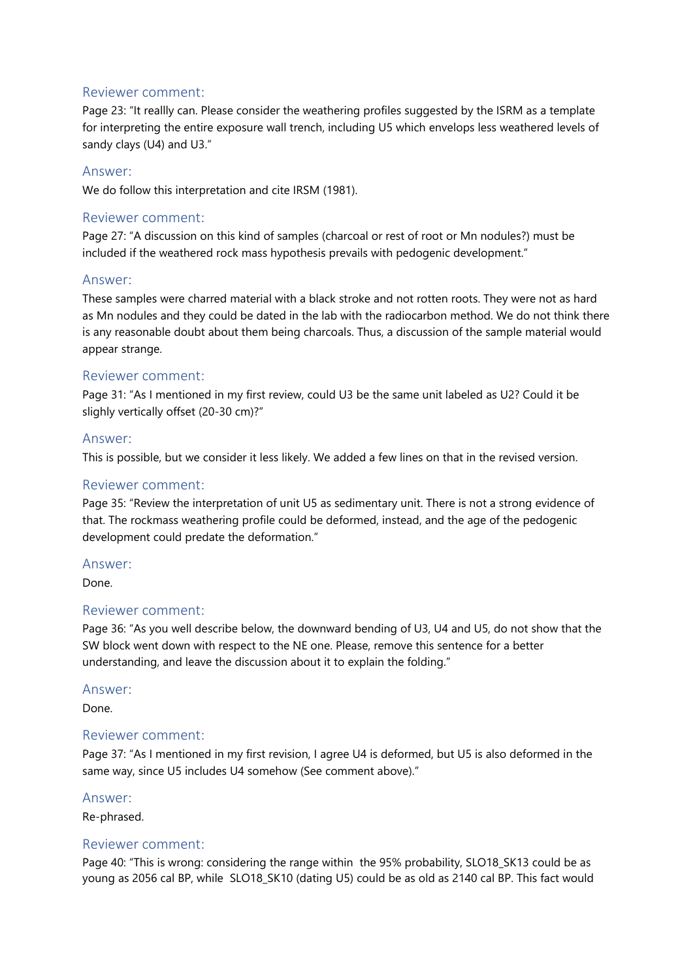# Reviewer comment:

Page 23: "It reallly can. Please consider the weathering profiles suggested by the ISRM as a template for interpreting the entire exposure wall trench, including U5 which envelops less weathered levels of sandy clays (U4) and U3."

## Answer:

We do follow this interpretation and cite IRSM (1981).

## Reviewer comment:

Page 27: "A discussion on this kind of samples (charcoal or rest of root or Mn nodules?) must be included if the weathered rock mass hypothesis prevails with pedogenic development."

#### Answer:

These samples were charred material with a black stroke and not rotten roots. They were not as hard as Mn nodules and they could be dated in the lab with the radiocarbon method. We do not think there is any reasonable doubt about them being charcoals. Thus, a discussion of the sample material would appear strange.

#### Reviewer comment:

Page 31: "As I mentioned in my first review, could U3 be the same unit labeled as U2? Could it be slighly vertically offset (20-30 cm)?"

#### Answer:

This is possible, but we consider it less likely. We added a few lines on that in the revised version.

## Reviewer comment:

Page 35: "Review the interpretation of unit U5 as sedimentary unit. There is not a strong evidence of that. The rockmass weathering profile could be deformed, instead, and the age of the pedogenic development could predate the deformation."

#### Answer:

Done.

#### Reviewer comment:

Page 36: "As you well describe below, the downward bending of U3, U4 and U5, do not show that the SW block went down with respect to the NE one. Please, remove this sentence for a better understanding, and leave the discussion about it to explain the folding."

#### Answer:

Done.

#### Reviewer comment:

Page 37: "As I mentioned in my first revision, I agree U4 is deformed, but U5 is also deformed in the same way, since U5 includes U4 somehow (See comment above)."

#### Answer:

Re-phrased.

#### Reviewer comment:

Page 40: "This is wrong: considering the range within the 95% probability, SLO18, SK13 could be as young as 2056 cal BP, while SLO18\_SK10 (dating U5) could be as old as 2140 cal BP. This fact would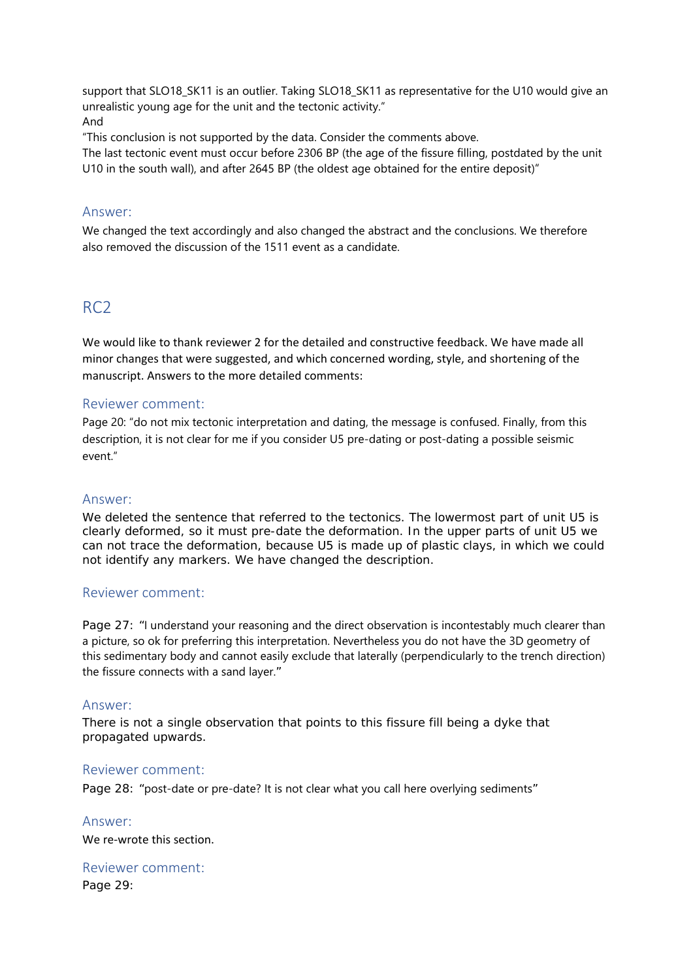support that SLO18 SK11 is an outlier. Taking SLO18 SK11 as representative for the U10 would give an unrealistic young age for the unit and the tectonic activity." And

"This conclusion is not supported by the data. Consider the comments above.

The last tectonic event must occur before 2306 BP (the age of the fissure filling, postdated by the unit U10 in the south wall), and after 2645 BP (the oldest age obtained for the entire deposit)"

# Answer:

We changed the text accordingly and also changed the abstract and the conclusions. We therefore also removed the discussion of the 1511 event as a candidate.

# RC2

We would like to thank reviewer 2 for the detailed and constructive feedback. We have made all minor changes that were suggested, and which concerned wording, style, and shortening of the manuscript. Answers to the more detailed comments:

# Reviewer comment:

Page 20: "do not mix tectonic interpretation and dating, the message is confused. Finally, from this description, it is not clear for me if you consider U5 pre-dating or post-dating a possible seismic event."

# Answer:

We deleted the sentence that referred to the tectonics. The lowermost part of unit U5 is clearly deformed, so it must pre-date the deformation. In the upper parts of unit U5 we can not trace the deformation, because U5 is made up of plastic clays, in which we could not identify any markers. We have changed the description.

# Reviewer comment:

Page 27: "I understand your reasoning and the direct observation is incontestably much clearer than a picture, so ok for preferring this interpretation. Nevertheless you do not have the 3D geometry of this sedimentary body and cannot easily exclude that laterally (perpendicularly to the trench direction) the fissure connects with a sand layer."

# Answer:

There is not a single observation that points to this fissure fill being a dyke that propagated upwards.

# Reviewer comment:

Page 28: "post-date or pre-date? It is not clear what you call here overlying sediments"

Answer: We re-wrote this section.

Reviewer comment: Page 29: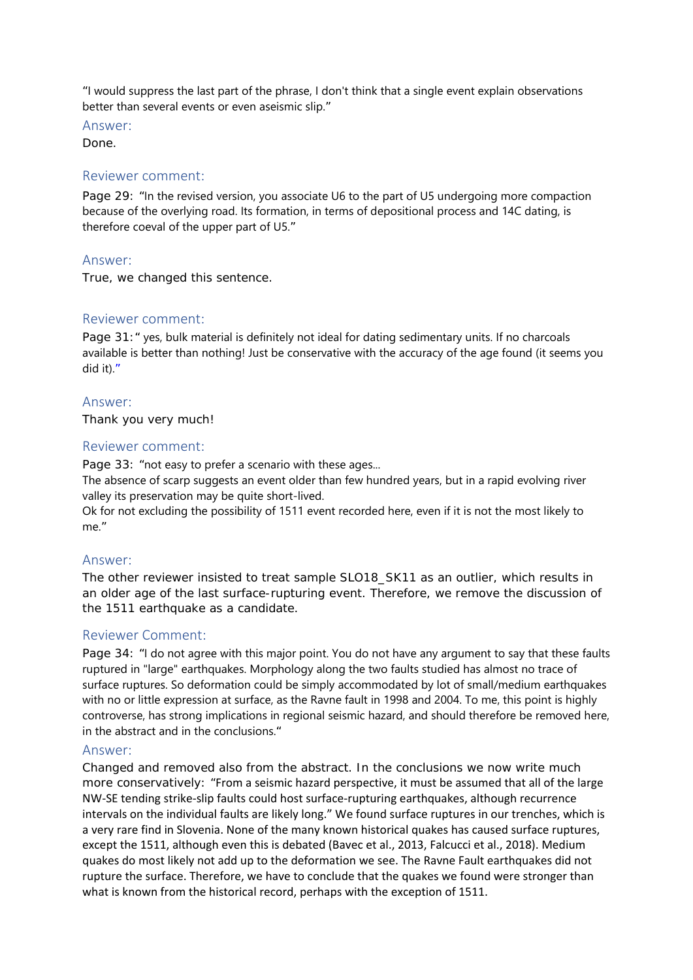"I would suppress the last part of the phrase, I don't think that a single event explain observations better than several events or even aseismic slip."

Answer:

Done.

#### Reviewer comment:

Page 29: "In the revised version, you associate U6 to the part of U5 undergoing more compaction because of the overlying road. Its formation, in terms of depositional process and 14C dating, is therefore coeval of the upper part of U5."

#### Answer:

True, we changed this sentence.

# Reviewer comment:

Page 31:" yes, bulk material is definitely not ideal for dating sedimentary units. If no charcoals available is better than nothing! Just be conservative with the accuracy of the age found (it seems you did it)."

#### Answer:

Thank you very much!

#### Reviewer comment:

Page 33: "not easy to prefer a scenario with these ages...

The absence of scarp suggests an event older than few hundred years, but in a rapid evolving river valley its preservation may be quite short-lived.

Ok for not excluding the possibility of 1511 event recorded here, even if it is not the most likely to me."

# Answer:

The other reviewer insisted to treat sample SLO18\_SK11 as an outlier, which results in an older age of the last surface-rupturing event. Therefore, we remove the discussion of the 1511 earthquake as a candidate.

# Reviewer Comment:

Page 34: "I do not agree with this major point. You do not have any argument to say that these faults ruptured in "large" earthquakes. Morphology along the two faults studied has almost no trace of surface ruptures. So deformation could be simply accommodated by lot of small/medium earthquakes with no or little expression at surface, as the Ravne fault in 1998 and 2004. To me, this point is highly controverse, has strong implications in regional seismic hazard, and should therefore be removed here, in the abstract and in the conclusions."

#### Answer:

Changed and removed also from the abstract. In the conclusions we now write much more conservatively: "From a seismic hazard perspective, it must be assumed that all of the large NW‐SE tending strike‐slip faults could host surface‐rupturing earthquakes, although recurrence intervals on the individual faults are likely long." We found surface ruptures in our trenches, which is a very rare find in Slovenia. None of the many known historical quakes has caused surface ruptures, except the 1511, although even this is debated (Bavec et al., 2013, Falcucci et al., 2018). Medium quakes do most likely not add up to the deformation we see. The Ravne Fault earthquakes did not rupture the surface. Therefore, we have to conclude that the quakes we found were stronger than what is known from the historical record, perhaps with the exception of 1511.